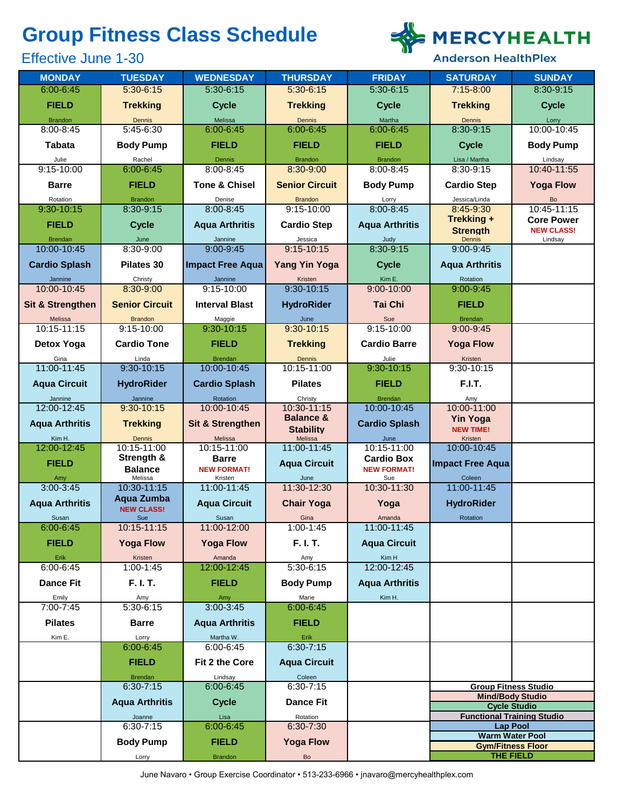# **Group Fitness Class Schedule**

# Effective June 1-30



**Anderson HealthPlex** 

| <b>MONDAY</b>                 | <b>TUESDAY</b>                   | <b>WEDNESDAY</b>              | <b>THURSDAY</b>                | <b>FRIDAY</b>                | <b>SATURDAY</b>                                | <b>SUNDAY</b>                     |
|-------------------------------|----------------------------------|-------------------------------|--------------------------------|------------------------------|------------------------------------------------|-----------------------------------|
| $6:00 - 6:45$                 | 5:30-6:15                        | $5:30 - 6:15$                 | $5:30-6:15$                    | 5:30-6:15                    | $7:15 - 8:00$                                  | 8:30-9:15                         |
| <b>FIELD</b>                  | <b>Trekking</b>                  | <b>Cycle</b>                  | <b>Trekking</b>                | <b>Cycle</b>                 | <b>Trekking</b>                                | <b>Cycle</b>                      |
| <b>Brandon</b>                | Dennis                           | Melissa                       | Dennis                         | Martha                       | Dennis                                         | Lorry                             |
| 8:00-8:45                     | 5:45-6:30                        | 6:00-6:45                     | 6:00-6:45                      | $6:00 - 6:45$                | 8:30-9:15                                      | 10:00-10:45                       |
| <b>Tabata</b>                 | <b>Body Pump</b>                 | <b>FIELD</b>                  | <b>FIELD</b>                   | <b>FIELD</b>                 | <b>Cycle</b>                                   | <b>Body Pump</b>                  |
| Julie                         | Rachel                           | Dennis                        | <b>Brandon</b>                 | <b>Brandon</b>               | Lisa / Martha                                  | Lindsay                           |
| $9:15 - 10:00$                | $6:00 - 6:45$                    | $8:00 - 8:45$                 | 8:30-9:00                      | 8:00-8:45                    | 8:30-9:15                                      | 10:40-11:55                       |
| <b>Barre</b>                  | <b>FIELD</b>                     | <b>Tone &amp; Chisel</b>      | <b>Senior Circuit</b>          | <b>Body Pump</b>             | <b>Cardio Step</b>                             | <b>Yoga Flow</b>                  |
| Rotation<br>9:30-10:15        | <b>Brandon</b><br>8:30-9:15      | Denise<br>8:00-8:45           | <b>Brandon</b><br>$9:15-10:00$ | Lorry<br>8:00-8:45           | Jessica/Linda<br>8:45-9:30                     | Bo<br>10:45-11:15                 |
|                               |                                  |                               |                                |                              | <b>Trekking +</b>                              | <b>Core Power</b>                 |
| <b>FIELD</b>                  | <b>Cycle</b>                     | <b>Aqua Arthritis</b>         | <b>Cardio Step</b>             | <b>Aqua Arthritis</b>        | <b>Strenath</b>                                | <b>NEW CLASS!</b>                 |
| <b>Brendan</b><br>10:00-10:45 | June<br>8:30-9:00                | Jannine<br>$9:00 - 9:45$      | Jessica<br>$9:15 - 10:15$      | Judy<br>8:30-9:15            | Dennis<br>9:00-9:45                            | Lindsay                           |
|                               |                                  |                               |                                |                              |                                                |                                   |
| <b>Cardio Splash</b>          | Pilates 30                       | <b>Impact Free Aqua</b>       | <b>Yang Yin Yoga</b>           | <b>Cycle</b>                 | <b>Aqua Arthritis</b>                          |                                   |
| Jannine<br>10:00-10:45        | Christy<br>8:30-9:00             | Jannine<br>9:15-10:00         | Kristen<br>$9:30-10:15$        | Kim E.<br>$9:00 - 10:00$     | Rotation<br>9:00-9:45                          |                                   |
|                               |                                  |                               |                                | <b>Tai Chi</b>               |                                                |                                   |
| <b>Sit &amp; Strengthen</b>   | <b>Senior Circuit</b>            | <b>Interval Blast</b>         | <b>HydroRider</b>              |                              | <b>FIELD</b>                                   |                                   |
| Melissa<br>10:15-11:15        | <b>Brandon</b><br>$9:15 - 10:00$ | Maggie<br>$9:30-10:15$        | June<br>$9:30-10:15$           | Sue<br>$9:15 - 10:00$        | <b>Brendan</b><br>$9:00 - 9:45$                |                                   |
|                               |                                  | <b>FIELD</b>                  |                                |                              |                                                |                                   |
| Detox Yoga<br>Gina            | <b>Cardio Tone</b><br>Linda      | <b>Brendan</b>                | <b>Trekking</b><br>Dennis      | <b>Cardio Barre</b><br>Julie | <b>Yoga Flow</b><br>Kristen                    |                                   |
| 11:00-11:45                   | $9:30-10:15$                     | 10:00-10:45                   | 10:15-11:00                    | $9:30-10:15$                 | 9:30-10:15                                     |                                   |
| <b>Aqua Circuit</b>           | <b>HydroRider</b>                | <b>Cardio Splash</b>          | <b>Pilates</b>                 | <b>FIELD</b>                 | F.I.T.                                         |                                   |
| Jannine                       | Jannine                          | Rotation                      | Christy                        | <b>Brendan</b>               | Amy                                            |                                   |
| 12:00-12:45                   | 9:30-10:15                       | 10:00-10:45                   | 10:30-11:15                    | 10:00-10:45                  | 10:00-11:00                                    |                                   |
| <b>Aqua Arthritis</b>         | <b>Trekking</b>                  | <b>Sit &amp; Strengthen</b>   | <b>Balance &amp;</b>           | <b>Cardio Splash</b>         | <b>Yin Yoga</b>                                |                                   |
| Kim H.                        | Dennis                           | Melissa                       | <b>Stability</b><br>Melissa    | June                         | <b>NEW TIME!</b><br>Kristen                    |                                   |
| 12:00-12:45                   | 10:15-11:00                      | 10:15-11:00                   | 11:00-11:45                    | 10:15-11:00                  | 10:00-10:45                                    |                                   |
| <b>FIELD</b>                  | Strength &                       | <b>Barre</b>                  | <b>Aqua Circuit</b>            | <b>Cardio Box</b>            | <b>Impact Free Aqua</b>                        |                                   |
| Amy                           | <b>Balance</b><br>Melissa        | <b>NEW FORMAT!</b><br>Kristen | June                           | <b>NEW FORMAT!</b><br>Sue    | Coleen                                         |                                   |
| $3:00 - 3:45$                 | 10:30-11:15                      | 11:00-11:45                   | 11:30-12:30                    | 10:30-11:30                  | 11:00-11:45                                    |                                   |
| <b>Aqua Arthritis</b>         | Aqua Zumba                       | <b>Aqua Circuit</b>           | <b>Chair Yoga</b>              | Yoga                         | <b>HydroRider</b>                              |                                   |
| Susan                         | <b>NEW CLASS!</b><br>Sue         | Susan                         | Gina                           | Amanda                       | Rotation                                       |                                   |
| $6:00 - 6:45$                 | 10:15-11:15                      | 11:00-12:00                   | $1:00 - 1:45$                  | 11:00-11:45                  |                                                |                                   |
| <b>FIELD</b>                  | <b>Yoga Flow</b>                 | <b>Yoga Flow</b>              | F. I. T.                       | <b>Aqua Circuit</b>          |                                                |                                   |
| Erik                          | Kristen                          | Amanda                        | Amy                            | Kim H                        |                                                |                                   |
| $6:00 - 6:45$                 | $1:00 - 1:45$                    | 12:00-12:45                   | $5:30-6:15$                    | 12:00-12:45                  |                                                |                                   |
| <b>Dance Fit</b>              | F. I. T.                         | <b>FIELD</b>                  | <b>Body Pump</b>               | <b>Aqua Arthritis</b>        |                                                |                                   |
| Emily<br>7:00-7:45            | Amy<br>5:30-6:15                 | Amy<br>3:00-3:45              | Marie<br>6:00-6:45             | Kim H.                       |                                                |                                   |
|                               |                                  |                               |                                |                              |                                                |                                   |
| <b>Pilates</b>                | <b>Barre</b>                     | <b>Aqua Arthritis</b>         | <b>FIELD</b>                   |                              |                                                |                                   |
| Kim E.                        | Lorry<br>$6:00 - 6:45$           | Martha W.<br>6:00-6:45        | Erik<br>$6:30 - 7:15$          |                              |                                                |                                   |
|                               | <b>FIELD</b>                     | Fit 2 the Core                | <b>Aqua Circuit</b>            |                              |                                                |                                   |
|                               | <b>Brendan</b>                   | Lindsay                       | Coleen                         |                              |                                                |                                   |
|                               | $6:30 - 7:15$                    | 6:00-6:45                     | $6:30 - 7:15$                  |                              |                                                | <b>Group Fitness Studio</b>       |
|                               | <b>Aqua Arthritis</b>            | <b>Cycle</b>                  | <b>Dance Fit</b>               |                              | <b>Mind/Body Studio</b><br><b>Cycle Studio</b> |                                   |
|                               | Joanne                           | Lisa                          | Rotation                       |                              |                                                | <b>Functional Training Studio</b> |
|                               | $6:30 - 7:15$                    | 6:00-6:45                     | 6:30-7:30                      |                              | <b>Lap Pool</b>                                |                                   |
|                               | <b>Body Pump</b>                 | <b>FIELD</b>                  | <b>Yoga Flow</b>               |                              | <b>Warm Water Pool</b>                         |                                   |
|                               | Lorry                            | <b>Brandon</b>                | Bo                             |                              | <b>Gym/Fitness Floor</b><br>THE FIELD          |                                   |